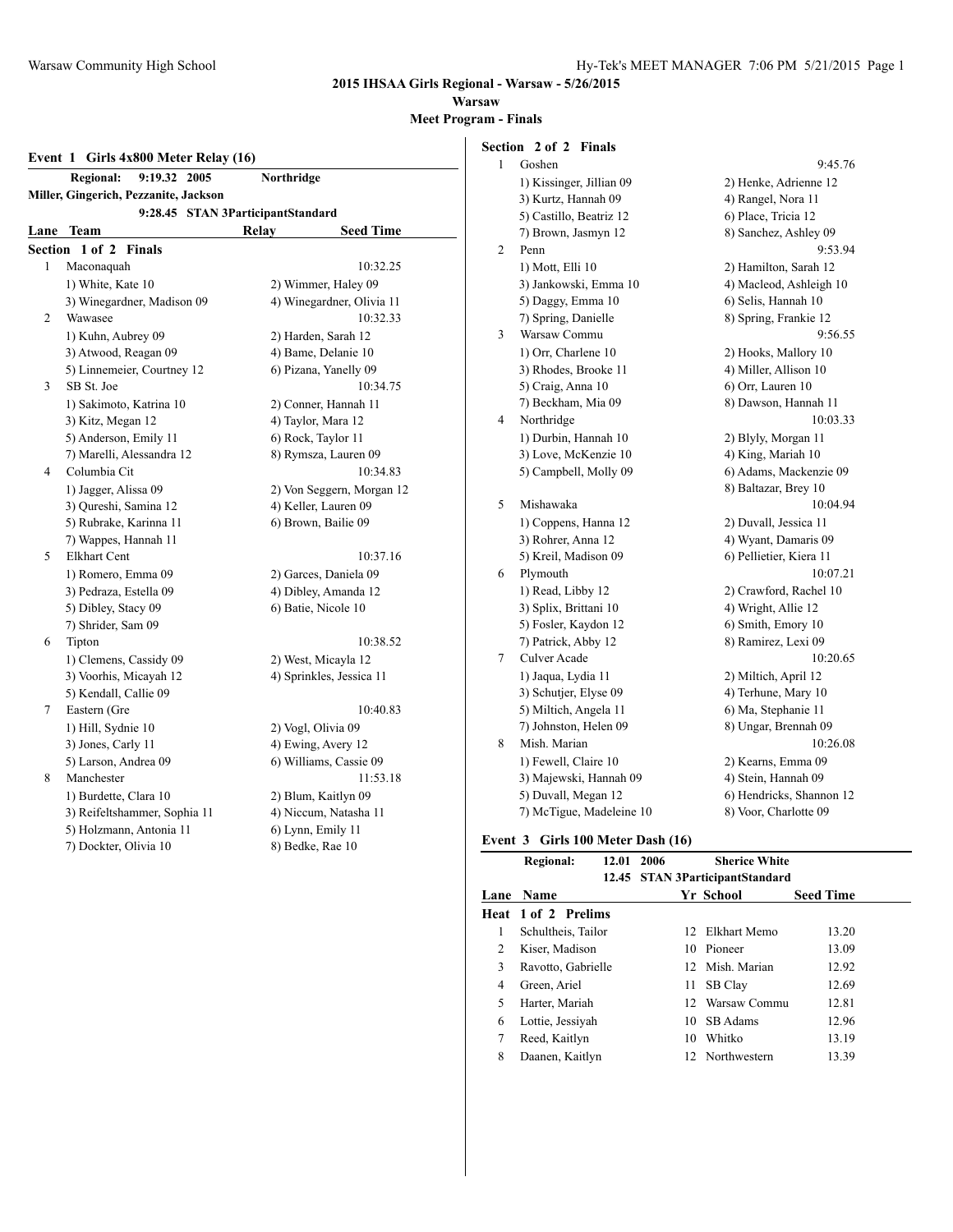**Warsaw**

**Meet Program - Finals**

# **Event 1 Girls 4x800 Meter Relay (16)**

|              | <b>Regional:</b><br>9:19.32 2005      | Northridge                        |
|--------------|---------------------------------------|-----------------------------------|
|              | Miller, Gingerich, Pezzanite, Jackson |                                   |
|              |                                       | 9:28.45 STAN 3ParticipantStandard |
| Lane         | Team                                  | Relay<br><b>Seed Time</b>         |
|              | Section 1 of 2<br>Finals              |                                   |
| $\mathbf{1}$ | Maconaquah                            | 10:32.25                          |
|              | 1) White, Kate 10                     | 2) Wimmer, Haley 09               |
|              | 3) Winegardner, Madison 09            | 4) Winegardner, Olivia 11         |
| 2            | Wawasee                               | 10:32.33                          |
|              | 1) Kuhn, Aubrey 09                    | 2) Harden, Sarah 12               |
|              | 3) Atwood, Reagan 09                  | 4) Bame, Delanie 10               |
|              | 5) Linnemeier, Courtney 12            | 6) Pizana, Yanelly 09             |
| 3            | SB St. Joe                            | 10:34.75                          |
|              | 1) Sakimoto, Katrina 10               | 2) Conner, Hannah 11              |
|              | 3) Kitz, Megan 12                     | 4) Taylor, Mara 12                |
|              | 5) Anderson, Emily 11                 | 6) Rock, Taylor 11                |
|              | 7) Marelli, Alessandra 12             | 8) Rymsza, Lauren 09              |
| 4            | Columbia Cit                          | 10:34.83                          |
|              | 1) Jagger, Alissa 09                  | 2) Von Seggern, Morgan 12         |
|              | 3) Qureshi, Samina 12                 | 4) Keller, Lauren 09              |
|              | 5) Rubrake, Karinna 11                | 6) Brown, Bailie 09               |
|              | 7) Wappes, Hannah 11                  |                                   |
| 5            | <b>Elkhart Cent</b>                   | 10:37.16                          |
|              | 1) Romero, Emma 09                    | 2) Garces, Daniela 09             |
|              | 3) Pedraza, Estella 09                | 4) Dibley, Amanda 12              |
|              | 5) Dibley, Stacy 09                   | 6) Batie, Nicole 10               |
|              | 7) Shrider, Sam 09                    |                                   |
| 6            | Tipton                                | 10:38.52                          |
|              | 1) Clemens, Cassidy 09                | 2) West, Micayla 12               |
|              | 3) Voorhis, Micayah 12                | 4) Sprinkles, Jessica 11          |
|              | 5) Kendall, Callie 09                 |                                   |
| 7            | Eastern (Gre                          | 10:40.83                          |
|              | 1) Hill, Sydnie 10                    | 2) Vogl, Olivia 09                |
|              | 3) Jones, Carly 11                    | 4) Ewing, Avery 12                |
|              | 5) Larson, Andrea 09                  | 6) Williams, Cassie 09            |
| 8            | Manchester                            | 11:53.18                          |
|              | 1) Burdette, Clara 10                 | 2) Blum, Kaitlyn 09               |
|              | 3) Reifeltshammer, Sophia 11          | 4) Niccum, Natasha 11             |
|              | 5) Holzmann, Antonia 11               | 6) Lynn, Emily 11                 |
|              | 7) Dockter, Olivia 10                 | 8) Bedke, Rae 10                  |

| Section | $2$ of $2$<br><b>Finals</b> |                          |
|---------|-----------------------------|--------------------------|
| 1       | Goshen                      | 9:45.76                  |
|         | 1) Kissinger, Jillian 09    | 2) Henke, Adrienne 12    |
|         | 3) Kurtz, Hannah 09         | 4) Rangel, Nora 11       |
|         | 5) Castillo, Beatriz 12     | 6) Place, Tricia 12      |
|         | 7) Brown, Jasmyn 12         | 8) Sanchez, Ashley 09    |
| 2       | Penn                        | 9:53.94                  |
|         | 1) Mott, Elli 10            | 2) Hamilton, Sarah 12    |
|         | 3) Jankowski, Emma 10       | 4) Macleod, Ashleigh 10  |
|         | 5) Daggy, Emma 10           | 6) Selis, Hannah 10      |
|         | 7) Spring, Danielle         | 8) Spring, Frankie 12    |
| 3       | Warsaw Commu                | 9:56.55                  |
|         | 1) Orr, Charlene 10         | 2) Hooks, Mallory 10     |
|         | 3) Rhodes, Brooke 11        | 4) Miller, Allison 10    |
|         | 5) Craig, Anna 10           | 6) Orr, Lauren 10        |
|         | 7) Beckham, Mia 09          | 8) Dawson, Hannah 11     |
| 4       | Northridge                  | 10:03.33                 |
|         | 1) Durbin, Hannah 10        | 2) Blyly, Morgan 11      |
|         | 3) Love, McKenzie 10        | 4) King, Mariah 10       |
|         | 5) Campbell, Molly 09       | 6) Adams, Mackenzie 09   |
|         |                             | 8) Baltazar, Brey 10     |
| 5       | Mishawaka                   | 10:04.94                 |
|         | 1) Coppens, Hanna 12        | 2) Duvall, Jessica 11    |
|         | 3) Rohrer, Anna 12          | 4) Wyant, Damaris 09     |
|         | 5) Kreil, Madison 09        | 6) Pellietier, Kiera 11  |
| 6       | Plymouth                    | 10:07.21                 |
|         | 1) Read, Libby 12           | 2) Crawford, Rachel 10   |
|         | 3) Splix, Brittani 10       | 4) Wright, Allie 12      |
|         | 5) Fosler, Kaydon 12        | 6) Smith, Emory 10       |
|         | 7) Patrick, Abby 12         | 8) Ramirez, Lexi 09      |
| 7       | Culver Acade                | 10:20.65                 |
|         | 1) Jaqua, Lydia 11          | 2) Miltich, April 12     |
|         | 3) Schutjer, Elyse 09       | 4) Terhune, Mary 10      |
|         | 5) Miltich, Angela 11       | 6) Ma, Stephanie 11      |
|         | 7) Johnston, Helen 09       | 8) Ungar, Brennah 09     |
| 8       | Mish. Marian                | 10:26.08                 |
|         | 1) Fewell, Claire 10        | 2) Kearns, Emma 09       |
|         | 3) Majewski, Hannah 09      | 4) Stein, Hannah 09      |
|         | 5) Duvall, Megan 12         | 6) Hendricks, Shannon 12 |
|         | 7) McTigue, Madeleine 10    | 8) Voor, Charlotte 09    |
|         |                             |                          |

### **Event 3 Girls 100 Meter Dash (16)**

|      | <b>Regional:</b><br>12.01<br>12.45 | 2006 |                  | <b>Sherice White</b><br><b>STAN 3ParticipantStandard</b> |                  |
|------|------------------------------------|------|------------------|----------------------------------------------------------|------------------|
| Lane | <b>Name</b>                        |      |                  | Yr School                                                | <b>Seed Time</b> |
|      | Heat 1 of 2 Prelims                |      |                  |                                                          |                  |
| 1    | Schultheis, Tailor                 |      | 12.              | Elkhart Memo                                             | 13.20            |
| 2    | Kiser, Madison                     |      | 10.              | Pioneer                                                  | 13.09            |
| 3    | Ravotto, Gabrielle                 |      | 12 <sup>12</sup> | Mish. Marian                                             | 12.92            |
| 4    | Green, Ariel                       |      | 11               | SB Clay                                                  | 12.69            |
| 5    | Harter, Mariah                     |      | 12 <sup>1</sup>  | Warsaw Commu                                             | 12.81            |
| 6    | Lottie, Jessiyah                   |      | 10               | SB Adams                                                 | 12.96            |
| 7    | Reed, Kaitlyn                      |      | 10               | Whitko                                                   | 13.19            |
| 8    | Daanen, Kaitlyn                    |      |                  | 12 Northwestern                                          | 13.39            |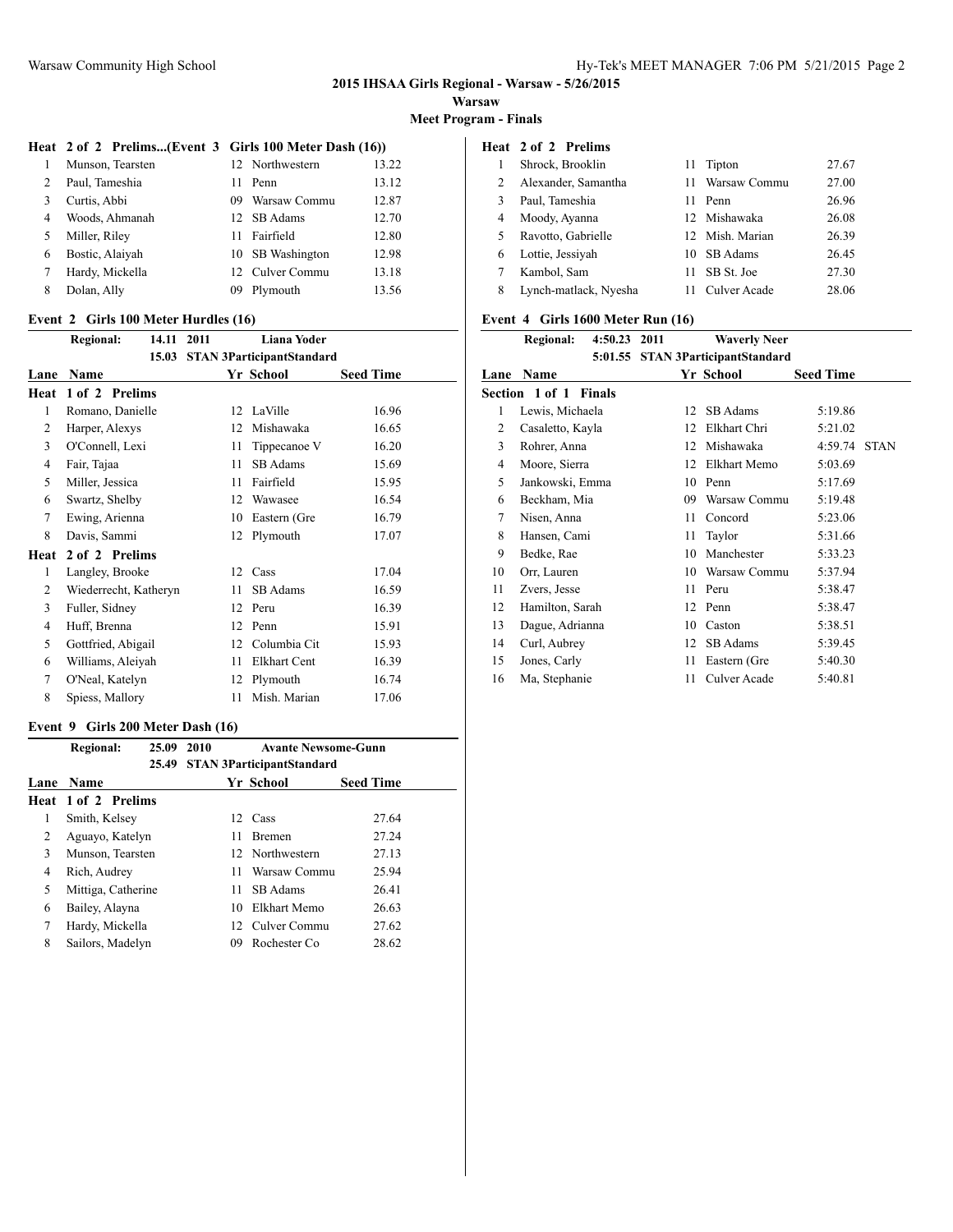**Warsaw**

**Meet Program - Finals**

#### **Heat 2 of 2 Prelims...(Event 3 Girls 100 Meter Dash (16))**

|   | Munson, Tearsten |    | 12 Northwestern  | 13.22 |
|---|------------------|----|------------------|-------|
|   | Paul, Tameshia   | 11 | Penn             | 13.12 |
|   | Curtis, Abbi     | 09 | Warsaw Commu     | 12.87 |
| 4 | Woods, Ahmanah   |    | 12 SB Adams      | 12.70 |
| 5 | Miller, Riley    | 11 | Fairfield        | 12.80 |
| 6 | Bostic, Alaiyah  |    | 10 SB Washington | 12.98 |
|   | Hardy, Mickella  |    | 12 Culver Commu  | 13.18 |
| 8 | Dolan, Ally      | 09 | Plymouth         | 13.56 |

#### **Event 2 Girls 100 Meter Hurdles (16)**

|                | <b>Regional:</b><br>14.11 | 2011 | <b>Liana Yoder</b>               |                  |
|----------------|---------------------------|------|----------------------------------|------------------|
|                | 15.03                     |      | <b>STAN 3ParticipantStandard</b> |                  |
| Lane           | Name                      |      | Yr School                        | <b>Seed Time</b> |
| Heat           | 1 of 2 Prelims            |      |                                  |                  |
| 1              | Romano, Danielle          | 12   | LaVille                          | 16.96            |
| $\overline{c}$ | Harper, Alexys            | 12   | Mishawaka                        | 16.65            |
| 3              | O'Connell, Lexi           | 11   | Tippecanoe V                     | 16.20            |
| 4              | Fair, Tajaa               | 11   | SB Adams                         | 15.69            |
| 5              | Miller, Jessica           | 11   | Fairfield                        | 15.95            |
| 6              | Swartz, Shelby            | 12   | Wawasee                          | 16.54            |
| 7              | Ewing, Arienna            | 10   | Eastern (Gre                     | 16.79            |
| 8              | Davis, Sammi              | 12   | Plymouth                         | 17.07            |
| Heat           | 2 of 2 Prelims            |      |                                  |                  |
| 1              | Langley, Brooke           | 12   | Cass                             | 17.04            |
| $\overline{c}$ | Wiederrecht, Katheryn     | 11   | SB Adams                         | 16.59            |
| 3              | Fuller, Sidney            | 12   | Peru                             | 16.39            |
| 4              | Huff, Brenna              | 12   | Penn                             | 15.91            |
| 5              | Gottfried, Abigail        | 12   | Columbia Cit                     | 15.93            |
| 6              | Williams, Aleiyah         | 11   | <b>Elkhart Cent</b>              | 16.39            |
| 7              | O'Neal, Katelyn           | 12   | Plymouth                         | 16.74            |
| 8              | Spiess, Mallory           | 11   | Mish. Marian                     | 17.06            |

### **Event 9 Girls 200 Meter Dash (16)**

|      | Regional:           | 25.09 | 2010 | <b>Avante Newsome-Gunn</b>       |                  |
|------|---------------------|-------|------|----------------------------------|------------------|
|      |                     | 25.49 |      | <b>STAN 3ParticipantStandard</b> |                  |
| Lane | <b>Name</b>         |       |      | Yr School                        | <b>Seed Time</b> |
|      | Heat 1 of 2 Prelims |       |      |                                  |                  |
| 1    | Smith, Kelsey       |       | 12   | Cass                             | 27.64            |
| 2    | Aguayo, Katelyn     |       | 11   | <b>Bremen</b>                    | 27.24            |
| 3    | Munson, Tearsten    |       |      | 12 Northwestern                  | 27.13            |
| 4    | Rich, Audrey        |       | 11   | Warsaw Commu                     | 25.94            |
| 5    | Mittiga, Catherine  |       | 11   | SB Adams                         | 26.41            |
| 6    | Bailey, Alayna      |       | 10   | Elkhart Memo                     | 26.63            |
| 7    | Hardy, Mickella     |       |      | 12 Culver Commu                  | 27.62            |
| 8    | Sailors, Madelyn    |       | 09   | Rochester Co                     | 28.62            |

# **Heat 2 of 2 Prelims**

|   | Shrock, Brooklin      | 11  | Tipton          | 27.67 |
|---|-----------------------|-----|-----------------|-------|
| 2 | Alexander, Samantha   | 11. | Warsaw Commu    | 27.00 |
| 3 | Paul, Tameshia        | 11  | Penn            | 26.96 |
| 4 | Moody, Ayanna         |     | 12 Mishawaka    | 26.08 |
| 5 | Ravotto, Gabrielle    |     | 12 Mish Marian  | 26.39 |
| 6 | Lottie, Jessiyah      |     | 10 SB Adams     | 26.45 |
|   | Kambol, Sam           | 11  | SB St. Joe      | 27.30 |
| 8 | Lynch-matlack, Nyesha |     | 11 Culver Acade | 28.06 |

# **Event 4 Girls 1600 Meter Run (16)**

|      | <b>Regional:</b><br>4:50.23 | 2011 | <b>Waverly Neer</b>              |                  |             |
|------|-----------------------------|------|----------------------------------|------------------|-------------|
|      | 5:01.55                     |      | <b>STAN 3ParticipantStandard</b> |                  |             |
| Lane | <b>Name</b>                 |      | Yr School                        | <b>Seed Time</b> |             |
|      | Section 1 of 1 Finals       |      |                                  |                  |             |
| 1    | Lewis, Michaela             | 12   | SB Adams                         | 5:19.86          |             |
| 2    | Casaletto, Kayla            | 12   | Elkhart Chri                     | 5:21.02          |             |
| 3    | Rohrer, Anna                | 12   | Mishawaka                        | 4:59.74          | <b>STAN</b> |
| 4    | Moore, Sierra               | 12   | Elkhart Memo                     | 5:03.69          |             |
| 5    | Jankowski, Emma             | 10   | Penn                             | 5:17.69          |             |
| 6    | Beckham, Mia                | 09   | Warsaw Commu                     | 5:19.48          |             |
| 7    | Nisen, Anna                 | 11   | Concord                          | 5:23.06          |             |
| 8    | Hansen, Cami                | 11   | Taylor                           | 5:31.66          |             |
| 9    | Bedke, Rae                  | 10   | Manchester                       | 5:33.23          |             |
| 10   | Orr, Lauren                 | 10   | Warsaw Commu                     | 5:37.94          |             |
| 11   | Zvers, Jesse                | 11   | Peru                             | 5:38.47          |             |
| 12   | Hamilton, Sarah             | 12   | Penn                             | 5:38.47          |             |
| 13   | Dague, Adrianna             | 10   | Caston                           | 5:38.51          |             |
| 14   | Curl, Aubrey                | 12   | SB Adams                         | 5:39.45          |             |
| 15   | Jones, Carly                | 11   | Eastern (Gre                     | 5:40.30          |             |
| 16   | Ma, Stephanie               | 11   | Culver Acade                     | 5:40.81          |             |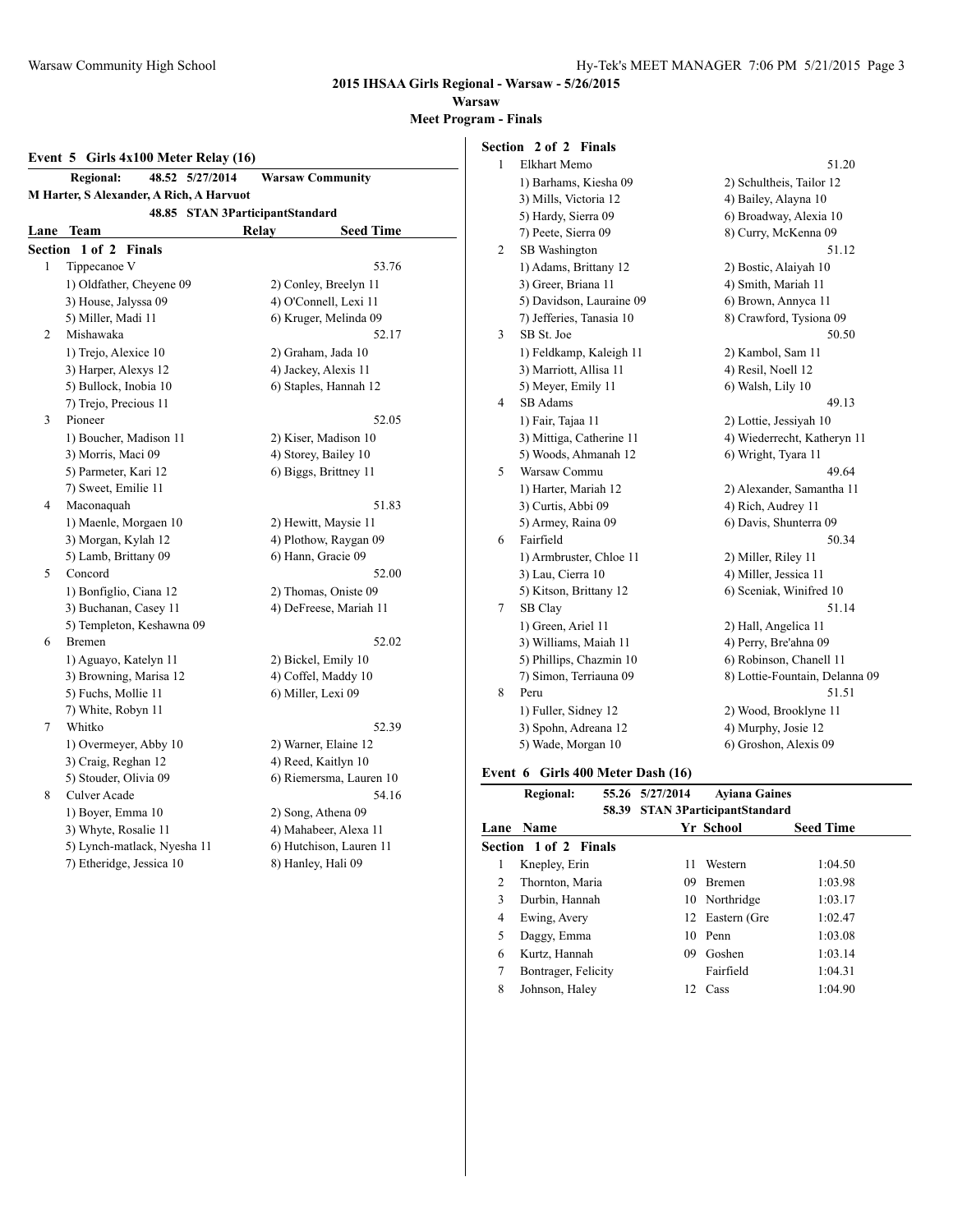**Warsaw**

**Meet Program - Finals**

#### **Event 5 Girls 4x100 Meter Relay (16)**

|                | <b>Regional:</b><br>48.52<br>5/27/2014            |                                  | <b>Warsaw Community</b> |
|----------------|---------------------------------------------------|----------------------------------|-------------------------|
|                | M Harter, S Alexander, A Rich, A Harvuot<br>48.85 | <b>STAN 3ParticipantStandard</b> |                         |
| Lane           | Team                                              | Relay                            | <b>Seed Time</b>        |
| <b>Section</b> | $1$ of $2$<br><b>Finals</b>                       |                                  |                         |
| 1              | Tippecanoe V                                      |                                  | 53.76                   |
|                | 1) Oldfather, Cheyene 09                          |                                  | 2) Conley, Breelyn 11   |
|                | 3) House, Jalyssa 09                              |                                  | 4) O'Connell, Lexi 11   |
|                | 5) Miller, Madi 11                                |                                  | 6) Kruger, Melinda 09   |
| 2              | Mishawaka                                         |                                  | 52.17                   |
|                | 1) Trejo, Alexice 10                              |                                  | 2) Graham, Jada 10      |
|                | 3) Harper, Alexys 12                              |                                  | 4) Jackey, Alexis 11    |
|                | 5) Bullock, Inobia 10                             |                                  | 6) Staples, Hannah 12   |
|                | 7) Trejo, Precious 11                             |                                  |                         |
| 3              | Pioneer                                           |                                  | 52.05                   |
|                | 1) Boucher, Madison 11                            |                                  | 2) Kiser, Madison 10    |
|                | 3) Morris, Maci 09                                |                                  | 4) Storey, Bailey 10    |
|                | 5) Parmeter, Kari 12                              |                                  | 6) Biggs, Brittney 11   |
|                | 7) Sweet, Emilie 11                               |                                  |                         |
| 4              | Maconaquah                                        |                                  | 51.83                   |
|                | 1) Maenle, Morgaen 10                             |                                  | 2) Hewitt, Maysie 11    |
|                | 3) Morgan, Kylah 12                               |                                  | 4) Plothow, Raygan 09   |
|                | 5) Lamb, Brittany 09                              |                                  | 6) Hann, Gracie 09      |
| 5              | Concord                                           |                                  | 52.00                   |
|                | 1) Bonfiglio, Ciana 12                            |                                  | 2) Thomas, Oniste 09    |
|                | 3) Buchanan, Casey 11                             |                                  | 4) DeFreese, Mariah 11  |
|                | 5) Templeton, Keshawna 09                         |                                  |                         |
| 6              | <b>Bremen</b>                                     |                                  | 52.02                   |
|                | 1) Aguayo, Katelyn 11                             |                                  | 2) Bickel, Emily 10     |
|                | 3) Browning, Marisa 12                            |                                  | 4) Coffel, Maddy 10     |
|                | 5) Fuchs, Mollie 11                               |                                  | 6) Miller, Lexi 09      |
|                | 7) White, Robyn 11                                |                                  |                         |
| 7              | Whitko                                            |                                  | 52.39                   |
|                | 1) Overmeyer, Abby 10                             |                                  | 2) Warner, Elaine 12    |
|                | 3) Craig, Reghan 12                               |                                  | 4) Reed, Kaitlyn 10     |
|                | 5) Stouder, Olivia 09                             |                                  | 6) Riemersma, Lauren 10 |
| 8              | Culver Acade                                      |                                  | 54.16                   |
|                | 1) Boyer, Emma 10                                 |                                  | 2) Song, Athena 09      |
|                | 3) Whyte, Rosalie 11                              |                                  | 4) Mahabeer, Alexa 11   |
|                | 5) Lynch-matlack, Nyesha 11                       |                                  | 6) Hutchison, Lauren 11 |
|                | 7) Etheridge, Jessica 10                          |                                  | 8) Hanley, Hali 09      |

#### **Section 2 of 2 Finals** 1 Elkhart Memo 51.20 1) Barhams, Kiesha 09 2) Schultheis, Tailor 12 3) Mills, Victoria 12 4) Bailey, Alayna 10 5) Hardy, Sierra 09 6) Broadway, Alexia 10 7) Peete, Sierra 09 8) Curry, McKenna 09 2 SB Washington 51.12 1) Adams, Brittany 12 2) Bostic, Alaiyah 10 3) Greer, Briana 11 4) Smith, Mariah 11 5) Davidson, Lauraine 09 6) Brown, Annyca 11 7) Jefferies, Tanasia 10 8) Crawford, Tysiona 09 3 SB St. Joe 50.50 1) Feldkamp, Kaleigh 11 2) Kambol, Sam 11 3) Marriott, Allisa 11 4) Resil, Noell 12 5) Meyer, Emily 11 6) Walsh, Lily 10 4 SB Adams 49.13 1) Fair, Tajaa 11 2) Lottie, Jessiyah 10 3) Mittiga, Catherine 11 4) Wiederrecht, Katheryn 11 5) Woods, Ahmanah 12 6) Wright, Tyara 11 5 Warsaw Commu 49.64 1) Harter, Mariah 12 2) Alexander, Samantha 11 3) Curtis, Abbi 09 4) Rich, Audrey 11 5) Armey, Raina 09 6) Davis, Shunterra 09 6 Fairfield 50.34 1) Armbruster, Chloe 11 2) Miller, Riley 11 3) Lau, Cierra 10 4) Miller, Jessica 11 5) Kitson, Brittany 12 6) Sceniak, Winifred 10 7 SB Clay 51.14 1) Green, Ariel 11 2) Hall, Angelica 11 3) Williams, Maiah 11 4) Perry, Bre'ahna 09 5) Phillips, Chazmin 10 6) Robinson, Chanell 11 7) Simon, Terriauna 09 8) Lottie-Fountain, Delanna 09 8 Peru 51.51

#### **Event 6 Girls 400 Meter Dash (16)**

|                | <b>Regional:</b>             |       | 55.26 5/27/2014 | <b>Aviana Gaines</b>             |                  |
|----------------|------------------------------|-------|-----------------|----------------------------------|------------------|
|                |                              | 58.39 |                 | <b>STAN 3ParticipantStandard</b> |                  |
| Lane           | <b>Name</b>                  |       |                 | Yr School                        | <b>Seed Time</b> |
|                | <b>Section 1 of 2 Finals</b> |       |                 |                                  |                  |
| 1              | Knepley, Erin                |       | 11              | Western                          | 1:04.50          |
| $\mathfrak{D}$ | Thornton, Maria              |       | 09              | <b>Bremen</b>                    | 1:03.98          |
| 3              | Durbin, Hannah               |       |                 | 10 Northridge                    | 1:03.17          |
| 4              | Ewing, Avery                 |       |                 | 12 Eastern (Gre                  | 1:02.47          |
| 5              | Daggy, Emma                  |       |                 | 10 Penn                          | 1:03.08          |
| 6              | Kurtz, Hannah                |       | 09              | Goshen                           | 1:03.14          |
| 7              | Bontrager, Felicity          |       |                 | Fairfield                        | 1:04.31          |
| 8              | Johnson, Halev               |       | 12              | Cass                             | 1:04.90          |
|                |                              |       |                 |                                  |                  |

1) Fuller, Sidney 12 2) Wood, Brooklyne 11 3) Spohn, Adreana 12 4) Murphy, Josie 12 5) Wade, Morgan 10 6) Groshon, Alexis 09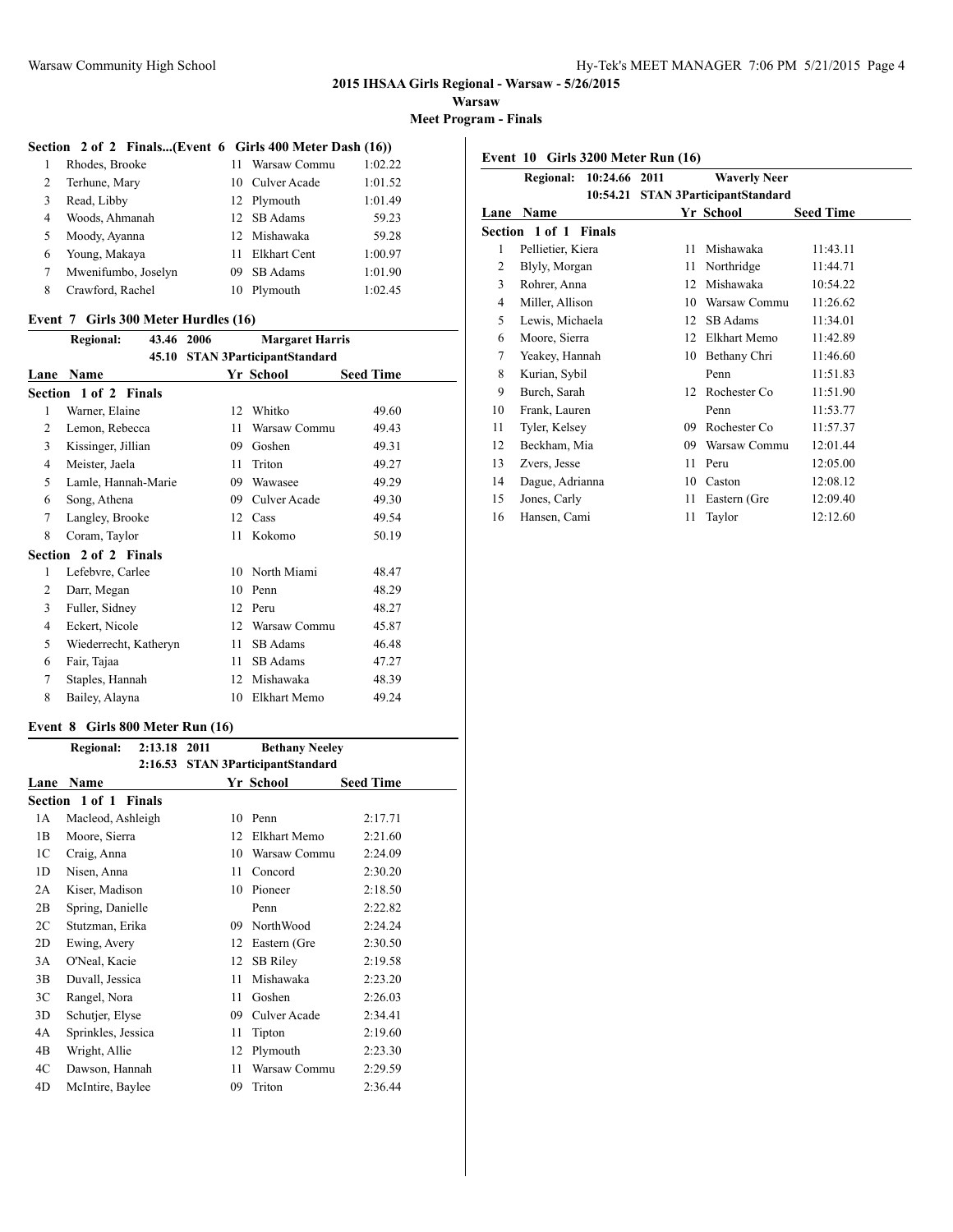**Warsaw**

**Meet Program - Finals**

### **Section 2 of 2 Finals...(Event 6 Girls 400 Meter Dash (16))**

|   | Rhodes, Brooke      | 11 | Warsaw Commu        | 1:02.22 |
|---|---------------------|----|---------------------|---------|
| 2 | Terhune, Mary       |    | 10 Culver Acade     | 1:01.52 |
| 3 | Read, Libby         |    | 12 Plymouth         | 1:01.49 |
| 4 | Woods, Ahmanah      |    | 12 SB Adams         | 59.23   |
| 5 | Moody, Ayanna       |    | 12 Mishawaka        | 59.28   |
| 6 | Young, Makaya       | 11 | <b>Elkhart Cent</b> | 1:00.97 |
| 7 | Mwenifumbo, Joselyn | 09 | SB Adams            | 1:01.90 |
| 8 | Crawford, Rachel    | 10 | Plymouth            | 1:02.45 |
|   |                     |    |                     |         |

#### **Event 7 Girls 300 Meter Hurdles (16)**

|                | <b>Regional:</b><br>43.46 | 2006 | <b>Margaret Harris</b>           |                  |  |
|----------------|---------------------------|------|----------------------------------|------------------|--|
|                | 45.10                     |      | <b>STAN 3ParticipantStandard</b> |                  |  |
| Lane           | Name                      |      | Yr School                        | <b>Seed Time</b> |  |
|                | Section 1 of 2 Finals     |      |                                  |                  |  |
| 1              | Warner, Elaine            | 12   | Whitko                           | 49.60            |  |
| $\overline{2}$ | Lemon, Rebecca            | 11   | Warsaw Commu                     | 49.43            |  |
| 3              | Kissinger, Jillian        | 09   | Goshen                           | 49.31            |  |
| 4              | Meister, Jaela            | 11   | Triton                           | 49.27            |  |
| 5              | Lamle, Hannah-Marie       | 09   | Wawasee                          | 49.29            |  |
| 6              | Song, Athena              | 09   | Culver Acade                     | 49.30            |  |
| 7              | Langley, Brooke           | 12   | Cass                             | 49.54            |  |
| 8              | Coram, Taylor             | 11   | Kokomo                           | 50.19            |  |
|                | Section 2 of 2 Finals     |      |                                  |                  |  |
| 1              | Lefebvre, Carlee          | 10   | North Miami                      | 48.47            |  |
| 2              | Darr, Megan               | 10   | Penn                             | 48.29            |  |
| 3              | Fuller, Sidney            | 12   | Peru                             | 48.27            |  |
| 4              | Eckert, Nicole            | 12   | Warsaw Commu                     | 45.87            |  |
| 5              | Wiederrecht, Katheryn     | 11   | SB Adams                         | 46.48            |  |
| 6              | Fair, Tajaa               | 11   | SB Adams                         | 47.27            |  |
| 7              | Staples, Hannah           | 12   | Mishawaka                        | 48.39            |  |
| 8              | Bailey, Alayna            | 10   | Elkhart Memo                     | 49.24            |  |

### **Event 8 Girls 800 Meter Run (16)**

|                | <b>Regional:</b>             | 2:13.18 | 2011 | <b>Bethany Neelev</b>            |                  |
|----------------|------------------------------|---------|------|----------------------------------|------------------|
|                |                              | 2:16.53 |      | <b>STAN 3ParticipantStandard</b> |                  |
| Lane           | <b>Name</b>                  |         |      | Yr School                        | <b>Seed Time</b> |
|                | <b>Section 1 of 1 Finals</b> |         |      |                                  |                  |
| 1 A            | Macleod, Ashleigh            |         | 10   | Penn                             | 2:17.71          |
| 1B             | Moore, Sierra                |         | 12   | Elkhart Memo                     | 2:21.60          |
| 1C             | Craig, Anna                  |         | 10   | Warsaw Commu                     | 2:24.09          |
| 1 <sub>D</sub> | Nisen, Anna                  |         | 11   | Concord                          | 2:30.20          |
| 2A             | Kiser, Madison               |         | 10   | Pioneer                          | 2:18.50          |
| 2B             | Spring, Danielle             |         |      | Penn                             | 2:22.82          |
| 2C             | Stutzman, Erika              |         | 09   | NorthWood                        | 2:24.24          |
| 2D             | Ewing, Avery                 |         | 12   | Eastern (Gre                     | 2:30.50          |
| 3A             | O'Neal, Kacie                |         | 12   | <b>SB Riley</b>                  | 2:19.58          |
| 3B             | Duvall, Jessica              |         | 11   | Mishawaka                        | 2:23.20          |
| 3C             | Rangel, Nora                 |         | 11   | Goshen                           | 2:26.03          |
| 3D             | Schutjer, Elyse              |         | 09   | Culver Acade                     | 2:34.41          |
| 4A             | Sprinkles, Jessica           |         | 11   | Tipton                           | 2:19.60          |
| 4B             | Wright, Allie                |         | 12   | Plymouth                         | 2:23.30          |
| 4C             | Dawson, Hannah               |         | 11   | Warsaw Commu                     | 2:29.59          |
| 4D             | McIntire, Baylee             |         | 09   | Triton                           | 2:36.44          |

**Event 10 Girls 3200 Meter Run (16)**

|      | <b>Regional:</b>             | 10:24.66 2011 |    | <b>Waverly Neer</b>              |                  |
|------|------------------------------|---------------|----|----------------------------------|------------------|
|      | 10:54.21                     |               |    | <b>STAN 3ParticipantStandard</b> |                  |
| Lane | Name                         |               |    | Yr School                        | <b>Seed Time</b> |
|      | <b>Section 1 of 1 Finals</b> |               |    |                                  |                  |
| 1    | Pellietier, Kiera            |               | 11 | Mishawaka                        | 11:43.11         |
| 2    | Blyly, Morgan                |               | 11 | Northridge                       | 11:44.71         |
| 3    | Rohrer, Anna                 |               | 12 | Mishawaka                        | 10:54.22         |
| 4    | Miller, Allison              |               | 10 | Warsaw Commu                     | 11:26.62         |
| 5    | Lewis, Michaela              |               | 12 | SB Adams                         | 11:34.01         |
| 6    | Moore, Sierra                |               | 12 | Elkhart Memo                     | 11:42.89         |
| 7    | Yeakey, Hannah               |               | 10 | Bethany Chri                     | 11:46.60         |
| 8    | Kurian, Sybil                |               |    | Penn                             | 11:51.83         |
| 9    | Burch, Sarah                 |               | 12 | Rochester Co                     | 11:51.90         |
| 10   | Frank, Lauren                |               |    | Penn                             | 11:53.77         |
| 11   | Tyler, Kelsey                |               | 09 | Rochester Co                     | 11:57.37         |
| 12   | Beckham, Mia                 |               | 09 | Warsaw Commu                     | 12:01.44         |
| 13   | Zvers, Jesse                 |               | 11 | Peru                             | 12:05.00         |
| 14   | Dague, Adrianna              |               | 10 | Caston                           | 12:08.12         |
| 15   | Jones, Carly                 |               | 11 | Eastern (Gre                     | 12:09.40         |
| 16   | Hansen, Cami                 |               | 11 | Taylor                           | 12:12.60         |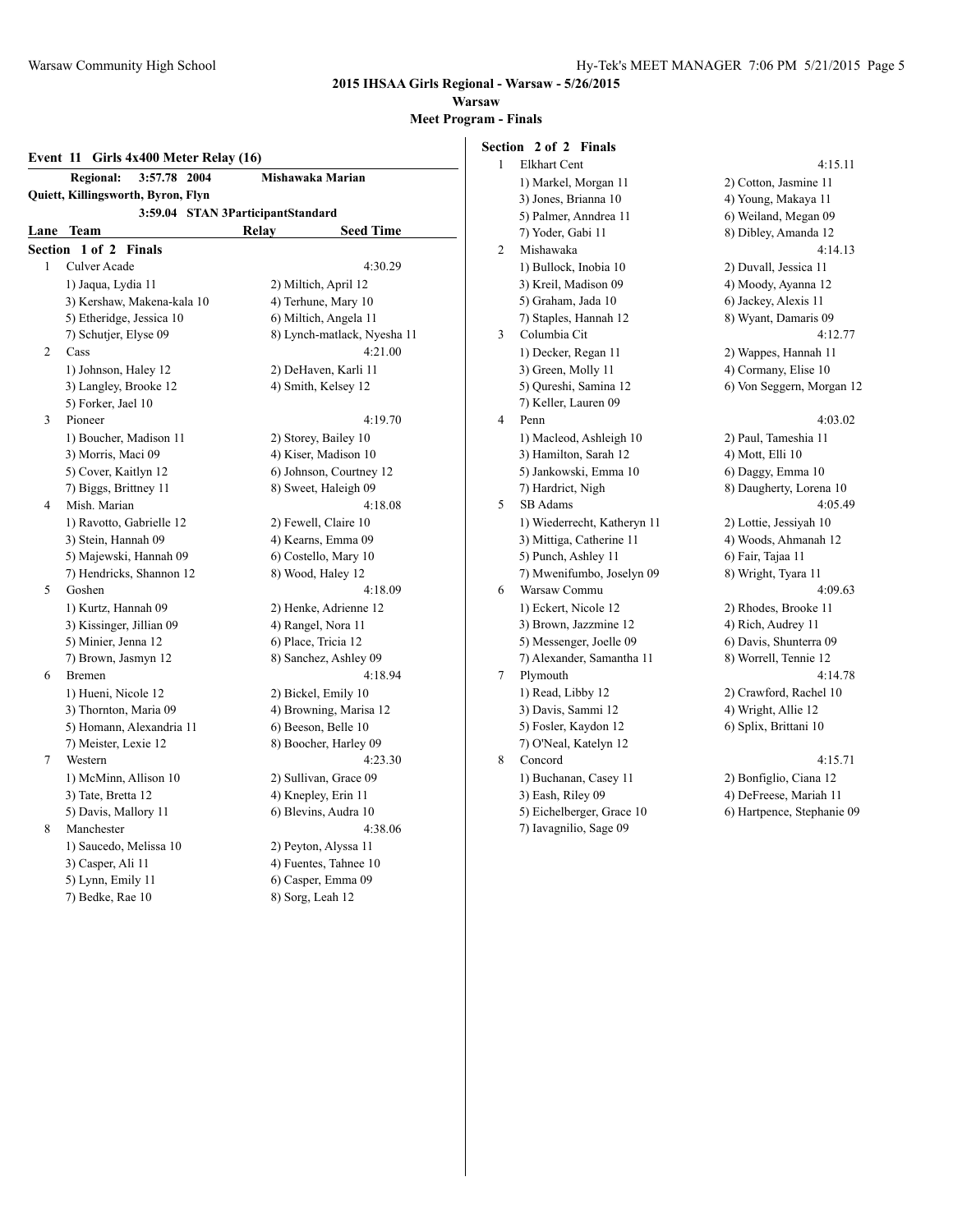**Warsaw**

**Meet Program - Finals**

# **Event 11 Girls 4x400 Meter Relay (16)**

|                | <b>Regional:</b><br>3:57.78<br>2004 | Mishawaka Marian                  |  |  |
|----------------|-------------------------------------|-----------------------------------|--|--|
|                | Quiett, Killingsworth, Byron, Flyn  |                                   |  |  |
|                |                                     | 3:59.04 STAN 3ParticipantStandard |  |  |
| Lane           | Team                                | <b>Relay</b><br><b>Seed Time</b>  |  |  |
| <b>Section</b> | $1$ of $2$<br><b>Finals</b>         |                                   |  |  |
| 1              | Culver Acade                        | 4:30.29                           |  |  |
|                | 1) Jaqua, Lydia 11                  | 2) Miltich, April 12              |  |  |
|                | 3) Kershaw, Makena-kala 10          | 4) Terhune, Mary 10               |  |  |
|                | 5) Etheridge, Jessica 10            | 6) Miltich, Angela 11             |  |  |
|                | 7) Schutjer, Elyse 09               | 8) Lynch-matlack, Nyesha 11       |  |  |
| 2              | Cass                                | 4:21.00                           |  |  |
|                | 1) Johnson, Haley 12                | 2) DeHaven, Karli 11              |  |  |
|                | 3) Langley, Brooke 12               | 4) Smith, Kelsey 12               |  |  |
|                | 5) Forker, Jael 10                  |                                   |  |  |
| 3              | Pioneer                             | 4:19.70                           |  |  |
|                | 1) Boucher, Madison 11              | 2) Storey, Bailey 10              |  |  |
|                | 3) Morris, Maci 09                  | 4) Kiser, Madison 10              |  |  |
|                | 5) Cover, Kaitlyn 12                | 6) Johnson, Courtney 12           |  |  |
|                | 7) Biggs, Brittney 11               | 8) Sweet, Haleigh 09              |  |  |
| $\overline{4}$ | Mish. Marian                        | 4:18.08                           |  |  |
|                | 1) Ravotto, Gabrielle 12            | 2) Fewell, Claire 10              |  |  |
|                | 3) Stein, Hannah 09                 | 4) Kearns, Emma 09                |  |  |
|                | 5) Majewski, Hannah 09              | 6) Costello, Mary 10              |  |  |
|                | 7) Hendricks, Shannon 12            | 8) Wood, Haley 12                 |  |  |
| 5              | Goshen                              | 4:18.09                           |  |  |
|                | 1) Kurtz, Hannah 09                 | 2) Henke, Adrienne 12             |  |  |
|                | 3) Kissinger, Jillian 09            | 4) Rangel, Nora 11                |  |  |
|                | 5) Minier, Jenna 12                 | 6) Place, Tricia 12               |  |  |
|                | 7) Brown, Jasmyn 12                 | 8) Sanchez, Ashley 09             |  |  |
| 6              | Bremen                              | 4:18.94                           |  |  |
|                | 1) Hueni, Nicole 12                 | 2) Bickel, Emily 10               |  |  |
|                | 3) Thornton, Maria 09               | 4) Browning, Marisa 12            |  |  |
|                | 5) Homann, Alexandria 11            | 6) Beeson, Belle 10               |  |  |
|                | 7) Meister, Lexie 12                | 8) Boocher, Harley 09             |  |  |
| 7              | Western                             | 4:23.30                           |  |  |
|                | 1) McMinn, Allison 10               | 2) Sullivan, Grace 09             |  |  |
|                | 3) Tate, Bretta 12                  | 4) Knepley, Erin 11               |  |  |
|                | 5) Davis, Mallory 11                | 6) Blevins, Audra 10              |  |  |
| 8              | Manchester                          | 4:38.06                           |  |  |
|                | 1) Saucedo, Melissa 10              | 2) Peyton, Alyssa 11              |  |  |
|                | 3) Casper, Ali 11                   | 4) Fuentes, Tahnee 10             |  |  |
|                | 5) Lynn, Emily 11                   | 6) Casper, Emma 09                |  |  |
|                | 7) Bedke, Rae 10                    | 8) Sorg, Leah 12                  |  |  |

#### **Section 2 of 2 Finals** 1 Elkhart Cent 4:15.11 1) Markel, Morgan 11 2) Cotton, Jasmine 11 3) Jones, Brianna 10 4) Young, Makaya 11 5) Palmer, Anndrea 11 6) Weiland, Megan 09 7) Yoder, Gabi 11 8) Dibley, Amanda 12 2 Mishawaka 4:14.13 1) Bullock, Inobia 10 2) Duvall, Jessica 11 3) Kreil, Madison 09 4) Moody, Ayanna 12 5) Graham, Jada 10 6) Jackey, Alexis 11 7) Staples, Hannah 12 8) Wyant, Damaris 09 3 Columbia Cit 4:12.77 1) Decker, Regan 11 2) Wappes, Hannah 11 3) Green, Molly 11 4) Cormany, Elise 10 5) Qureshi, Samina 12 6) Von Seggern, Morgan 12 7) Keller, Lauren 09 4 Penn 4:03.02 1) Macleod, Ashleigh 10 2) Paul, Tameshia 11 3) Hamilton, Sarah 12 4) Mott, Elli 10 5) Jankowski, Emma 10 6) Daggy, Emma 10 7) Hardrict, Nigh 8) Daugherty, Lorena 10 5 SB Adams 4:05.49 1) Wiederrecht, Katheryn 11 2) Lottie, Jessiyah 10 3) Mittiga, Catherine 11 4) Woods, Ahmanah 12 5) Punch, Ashley 11 6) Fair, Tajaa 11 7) Mwenifumbo, Joselyn 09 8) Wright, Tyara 11 6 Warsaw Commu 4:09.63 1) Eckert, Nicole 12 2) Rhodes, Brooke 11 3) Brown, Jazzmine 12 4) Rich, Audrey 11 5) Messenger, Joelle 09 6) Davis, Shunterra 09 7) Alexander, Samantha 11 8) Worrell, Tennie 12 7 Plymouth 4:14.78 1) Read, Libby 12 2) Crawford, Rachel 10 3) Davis, Sammi 12 4) Wright, Allie 12 5) Fosler, Kaydon 12 6) Splix, Brittani 10 7) O'Neal, Katelyn 12 8 Concord 4:15.71 1) Buchanan, Casey 11 2) Bonfiglio, Ciana 12 3) Eash, Riley 09 4) DeFreese, Mariah 11 5) Eichelberger, Grace 10 6) Hartpence, Stephanie 09 7) Iavagnilio, Sage 09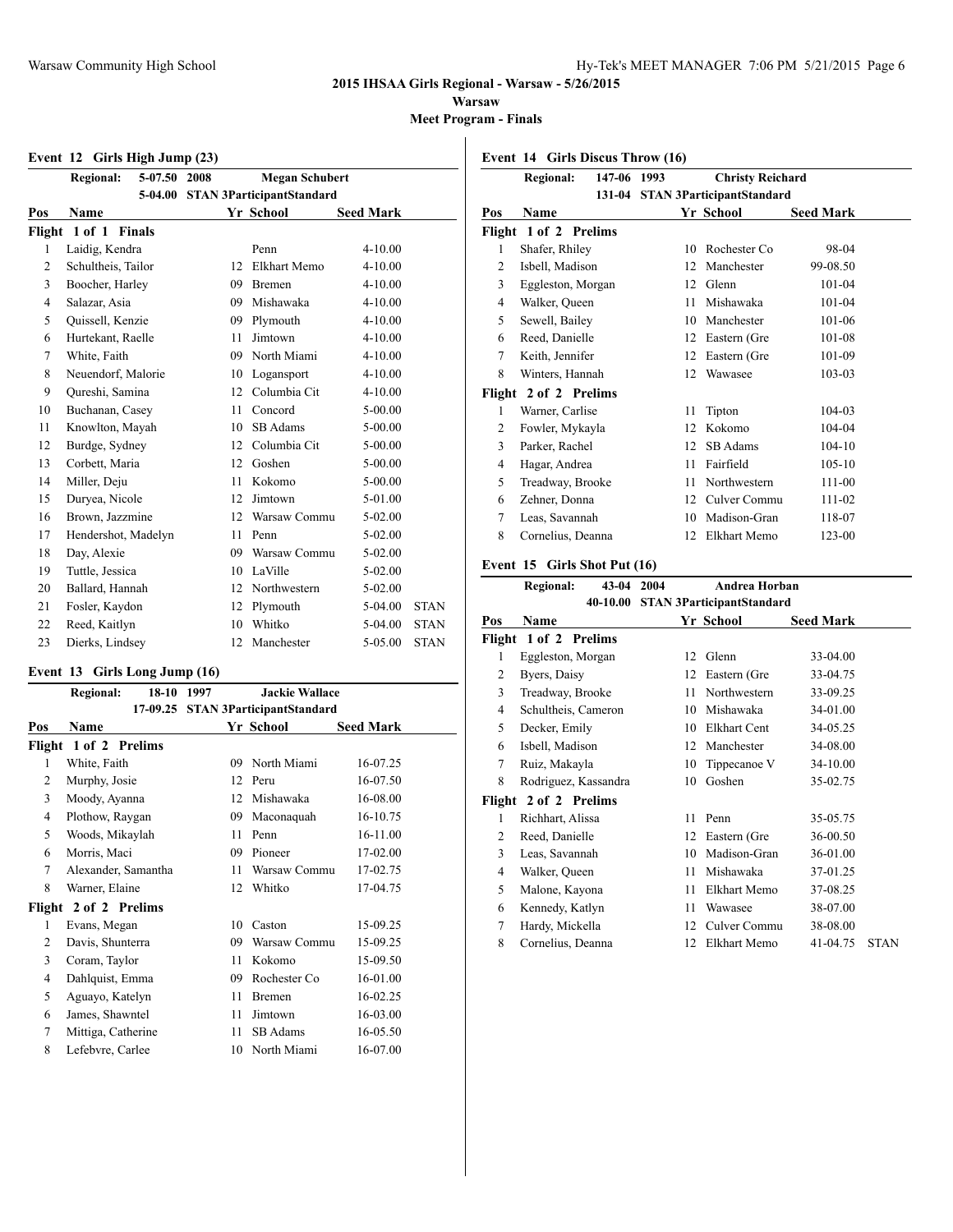**Warsaw**

**Meet Program - Finals**

#### **Event 12 Girls High Jump (23)**

|                | <b>Regional:</b>     | 5-07.50 2008 |    | <b>Megan Schubert</b>            |                  |             |
|----------------|----------------------|--------------|----|----------------------------------|------------------|-------------|
|                |                      | 5-04.00      |    | <b>STAN 3ParticipantStandard</b> |                  |             |
| Pos            | Name                 |              |    | Yr School                        | <b>Seed Mark</b> |             |
|                | Flight 1 of 1 Finals |              |    |                                  |                  |             |
| 1              | Laidig, Kendra       |              |    | Penn                             | $4 - 10.00$      |             |
| $\overline{c}$ | Schultheis, Tailor   |              | 12 | Elkhart Memo                     | $4 - 10.00$      |             |
| 3              | Boocher, Harley      |              | 09 | <b>Bremen</b>                    | $4 - 10.00$      |             |
| 4              | Salazar, Asia        |              | 09 | Mishawaka                        | $4 - 10.00$      |             |
| 5              | Quissell, Kenzie     |              | 09 | Plymouth                         | $4 - 10.00$      |             |
| 6              | Hurtekant, Raelle    |              | 11 | Jimtown                          | $4 - 10.00$      |             |
| 7              | White, Faith         |              | 09 | North Miami                      | $4 - 10.00$      |             |
| 8              | Neuendorf, Malorie   |              | 10 | Logansport                       | $4 - 10.00$      |             |
| 9              | Qureshi, Samina      |              | 12 | Columbia Cit                     | $4 - 10.00$      |             |
| 10             | Buchanan, Casey      |              | 11 | Concord                          | 5-00.00          |             |
| 11             | Knowlton, Mayah      |              | 10 | SB Adams                         | 5-00.00          |             |
| 12             | Burdge, Sydney       |              | 12 | Columbia Cit                     | 5-00.00          |             |
| 13             | Corbett, Maria       |              | 12 | Goshen                           | $5 - 00.00$      |             |
| 14             | Miller, Deju         |              | 11 | Kokomo                           | 5-00.00          |             |
| 15             | Duryea, Nicole       |              | 12 | Jimtown                          | 5-01.00          |             |
| 16             | Brown, Jazzmine      |              | 12 | Warsaw Commu                     | $5-02.00$        |             |
| 17             | Hendershot, Madelyn  |              | 11 | Penn                             | $5 - 02.00$      |             |
| 18             | Day, Alexie          |              | 09 | Warsaw Commu                     | $5-02.00$        |             |
| 19             | Tuttle, Jessica      |              | 10 | LaVille                          | $5-02.00$        |             |
| 20             | Ballard, Hannah      |              | 12 | Northwestern                     | $5 - 02.00$      |             |
| 21             | Fosler, Kaydon       |              | 12 | Plymouth                         | 5-04.00          | <b>STAN</b> |
| 22             | Reed, Kaitlyn        |              | 10 | Whitko                           | 5-04.00          | <b>STAN</b> |
| 23             | Dierks, Lindsey      |              | 12 | Manchester                       | 5-05.00          | <b>STAN</b> |

### **Event 13 Girls Long Jump (16)**

|                | <b>Regional:</b>      | $18-10$ | 1997 | <b>Jackie Wallace</b>              |                  |
|----------------|-----------------------|---------|------|------------------------------------|------------------|
|                |                       |         |      | 17-09.25 STAN 3ParticipantStandard |                  |
| Pos            | Name                  |         |      | Yr School                          | <b>Seed Mark</b> |
|                | Flight 1 of 2 Prelims |         |      |                                    |                  |
| 1              | White, Faith          |         | 09   | North Miami                        | 16-07.25         |
| 2              | Murphy, Josie         |         | 12   | Peru                               | 16-07.50         |
| 3              | Moody, Ayanna         |         | 12   | Mishawaka                          | 16-08.00         |
| 4              | Plothow, Raygan       |         | 09   | Maconaquah                         | 16-10.75         |
| 5              | Woods, Mikaylah       |         | 11   | Penn                               | 16-11.00         |
| 6              | Morris, Maci          |         | 09   | Pioneer                            | 17-02.00         |
| 7              | Alexander, Samantha   |         | 11   | Warsaw Commu                       | 17-02.75         |
| 8              | Warner, Elaine        |         | 12   | Whitko                             | 17-04.75         |
|                | Flight 2 of 2 Prelims |         |      |                                    |                  |
| 1              | Evans, Megan          |         | 10   | Caston                             | 15-09.25         |
| 2              | Davis, Shunterra      |         | 09   | Warsaw Commu                       | 15-09.25         |
| 3              | Coram, Taylor         |         | 11   | Kokomo                             | 15-09.50         |
| $\overline{4}$ | Dahlquist, Emma       |         | 09   | Rochester Co                       | 16-01.00         |
| 5              | Aguayo, Katelyn       |         | 11   | Bremen                             | 16-02.25         |
| 6              | James, Shawntel       |         | 11   | Jimtown                            | 16-03.00         |
| 7              | Mittiga, Catherine    |         | 11   | SB Adams                           | 16-05.50         |
| 8              | Lefebvre, Carlee      |         | 10   | North Miami                        | 16-07.00         |
|                |                       |         |      |                                    |                  |

**Event 14 Girls Discus Throw (16)**

|        | <b>Regional:</b>      | 147-06 | 1993 | <b>Christy Reichard</b>          |                  |
|--------|-----------------------|--------|------|----------------------------------|------------------|
|        |                       | 131-04 |      | <b>STAN 3ParticipantStandard</b> |                  |
| Pos    | Name                  |        |      | Yr School                        | <b>Seed Mark</b> |
|        | Flight 1 of 2 Prelims |        |      |                                  |                  |
| 1      | Shafer, Rhiley        |        | 10   | Rochester Co.                    | 98-04            |
| 2      | Isbell, Madison       |        | 12   | Manchester                       | 99-08.50         |
| 3      | Eggleston, Morgan     |        | 12   | Glenn                            | $101 - 04$       |
| 4      | Walker, Queen         |        | 11   | Mishawaka                        | 101-04           |
| 5      | Sewell, Bailey        |        | 10   | Manchester                       | 101-06           |
| 6      | Reed, Danielle        |        | 12   | Eastern (Gre                     | 101-08           |
| 7      | Keith, Jennifer       |        | 12   | Eastern (Gre                     | 101-09           |
| 8      | Winters, Hannah       |        | 12   | Wawasee                          | 103-03           |
| Flight | 2 of 2 Prelims        |        |      |                                  |                  |
| 1      | Warner, Carlise       |        | 11   | Tipton                           | 104-03           |
| 2      | Fowler, Mykayla       |        | 12   | Kokomo                           | 104-04           |
| 3      | Parker, Rachel        |        | 12   | SB Adams                         | $104 - 10$       |
| 4      | Hagar, Andrea         |        | 11   | Fairfield                        | $105 - 10$       |
| 5      | Treadway, Brooke      |        | 11   | Northwestern                     | 111-00           |
| 6      | Zehner, Donna         |        | 12   | Culver Commu                     | 111-02           |
| 7      | Leas, Savannah        |        | 10   | Madison-Gran                     | 118-07           |
| 8      | Cornelius, Deanna     |        | 12   | Elkhart Memo                     | 123-00           |
|        |                       |        |      |                                  |                  |

# **Event 15 Girls Shot Put (16)**

| <b>Regional:</b> | 43-04 2004 | Andrea Horban                      |
|------------------|------------|------------------------------------|
|                  |            | 40.10.00 CTAN 2DoutiainantStandard |

|            | <b>STAN 3ParticipantStandard</b><br>40-10.00 |    |                     |                  |             |
|------------|----------------------------------------------|----|---------------------|------------------|-------------|
| <b>Pos</b> | Name                                         |    | Yr School           | <b>Seed Mark</b> |             |
| Flight     | 1 of 2 Prelims                               |    |                     |                  |             |
| 1          | Eggleston, Morgan                            | 12 | Glenn               | 33-04.00         |             |
| 2          | Byers, Daisy                                 | 12 | Eastern (Gre        | 33-04.75         |             |
| 3          | Treadway, Brooke                             | 11 | Northwestern        | 33-09.25         |             |
| 4          | Schultheis, Cameron                          | 10 | Mishawaka           | 34-01.00         |             |
| 5          | Decker, Emily                                | 10 | <b>Elkhart Cent</b> | 34-05.25         |             |
| 6          | Isbell, Madison                              | 12 | Manchester          | 34-08.00         |             |
| 7          | Ruiz, Makayla                                | 10 | Tippecanoe V        | 34-10.00         |             |
| 8          | Rodriguez, Kassandra                         | 10 | Goshen              | 35-02.75         |             |
| Flight     | 2 of 2 Prelims                               |    |                     |                  |             |
| 1          | Richhart, Alissa                             | 11 | Penn                | 35-05.75         |             |
| 2          | Reed, Danielle                               | 12 | Eastern (Gre        | 36-00.50         |             |
| 3          | Leas, Savannah                               | 10 | Madison-Gran        | 36-01.00         |             |
| 4          | Walker, Queen                                | 11 | Mishawaka           | 37-01.25         |             |
| 5          | Malone, Kayona                               | 11 | Elkhart Memo        | 37-08.25         |             |
| 6          | Kennedy, Katlyn                              | 11 | Wawasee             | 38-07.00         |             |
| 7          | Hardy, Mickella                              | 12 | Culver Commu        | 38-08.00         |             |
| 8          | Cornelius, Deanna                            | 12 | Elkhart Memo        | 41-04.75         | <b>STAN</b> |